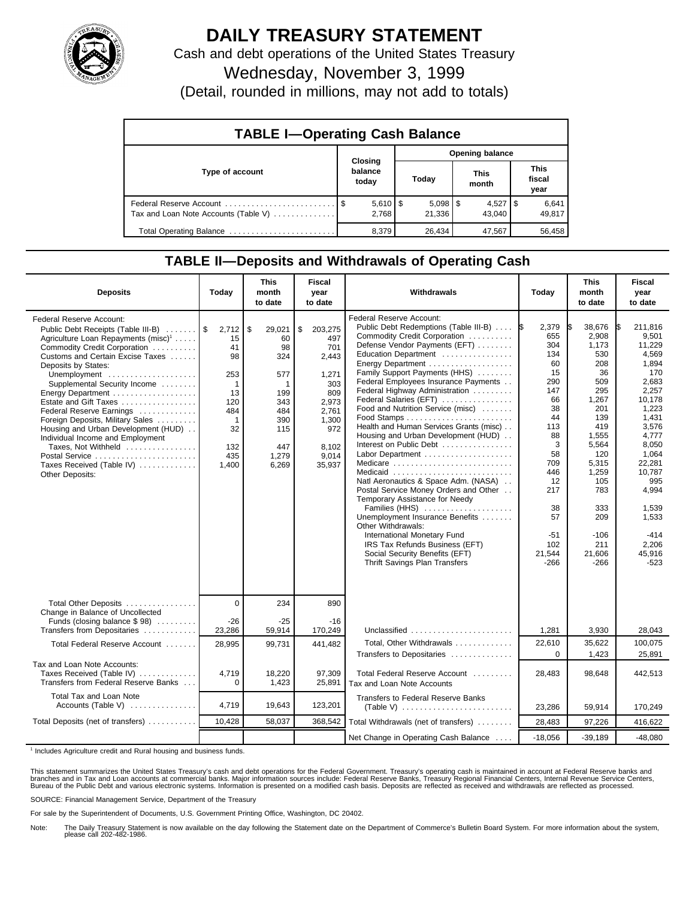

## **DAILY TREASURY STATEMENT**

Cash and debt operations of the United States Treasury Wednesday, November 3, 1999

(Detail, rounded in millions, may not add to totals)

| <b>TABLE I-Operating Cash Balance</b> |                |                                |                 |        |  |                        |  |                               |  |
|---------------------------------------|----------------|--------------------------------|-----------------|--------|--|------------------------|--|-------------------------------|--|
|                                       | <b>Closing</b> |                                | Opening balance |        |  |                        |  |                               |  |
| Type of account                       |                | balance<br>today               |                 | Today  |  | This<br>month          |  | <b>This</b><br>fiscal<br>year |  |
| Tax and Loan Note Accounts (Table V)  |                | $5,610$ $\frac{1}{9}$<br>2.768 |                 | 21,336 |  | $4,527$   \$<br>43.040 |  | 6,641<br>49,817               |  |
| Total Operating Balance               |                | 8,379                          |                 | 26,434 |  | 47,567                 |  | 56.458                        |  |

## **TABLE II—Deposits and Withdrawals of Operating Cash**

| <b>Deposits</b>                                                                                                                                                                                                                                                                                                                                                                                                                                                                                                                                       | Today                                                                                                               | <b>This</b><br>month<br>to date                                                                   | Fiscal<br>year<br>to date                                                                                                 | Withdrawals                                                                                                                                                                                                                                                                                                                                                                                                                                                                                                                                                                                                                                                                                                                                                                                                                                             | Today                                                                                                                                                                     | <b>This</b><br>month<br>to date                                                                                                                                                                      | <b>Fiscal</b><br>year<br>to date                                                                                                                                                                                                          |
|-------------------------------------------------------------------------------------------------------------------------------------------------------------------------------------------------------------------------------------------------------------------------------------------------------------------------------------------------------------------------------------------------------------------------------------------------------------------------------------------------------------------------------------------------------|---------------------------------------------------------------------------------------------------------------------|---------------------------------------------------------------------------------------------------|---------------------------------------------------------------------------------------------------------------------------|---------------------------------------------------------------------------------------------------------------------------------------------------------------------------------------------------------------------------------------------------------------------------------------------------------------------------------------------------------------------------------------------------------------------------------------------------------------------------------------------------------------------------------------------------------------------------------------------------------------------------------------------------------------------------------------------------------------------------------------------------------------------------------------------------------------------------------------------------------|---------------------------------------------------------------------------------------------------------------------------------------------------------------------------|------------------------------------------------------------------------------------------------------------------------------------------------------------------------------------------------------|-------------------------------------------------------------------------------------------------------------------------------------------------------------------------------------------------------------------------------------------|
| <b>Federal Reserve Account:</b><br>Public Debt Receipts (Table III-B)<br>Agriculture Loan Repayments (misc) <sup>1</sup><br>Commodity Credit Corporation<br>Customs and Certain Excise Taxes<br>Deposits by States:<br>Unemployment<br>Supplemental Security Income<br>Energy Department<br>Estate and Gift Taxes<br>Federal Reserve Earnings<br>Foreign Deposits, Military Sales<br>Housing and Urban Development (HUD)<br>Individual Income and Employment<br>Taxes, Not Withheld<br>Postal Service<br>Taxes Received (Table IV)<br>Other Deposits: | $2,712$ \$<br>15<br>41<br>98<br>253<br>$\mathbf 1$<br>13<br>120<br>484<br>$\mathbf{1}$<br>32<br>132<br>435<br>1,400 | 29,021<br>60<br>98<br>324<br>577<br>1<br>199<br>343<br>484<br>390<br>115<br>447<br>1,279<br>6,269 | \$<br>203,275<br>497<br>701<br>2,443<br>1,271<br>303<br>809<br>2.973<br>2,761<br>1,300<br>972<br>8.102<br>9,014<br>35,937 | Federal Reserve Account:<br>Public Debt Redemptions (Table III-B)  S<br>Commodity Credit Corporation<br>Defense Vendor Payments (EFT)<br>Education Department<br>Energy Department<br>Family Support Payments (HHS)<br>Federal Employees Insurance Payments<br>Federal Highway Administration<br>Federal Salaries (EFT)<br>Food and Nutrition Service (misc)<br>Health and Human Services Grants (misc)<br>Housing and Urban Development (HUD)<br>Interest on Public Debt<br>Labor Department<br>Medicare<br>Medicaid<br>Natl Aeronautics & Space Adm. (NASA)<br>Postal Service Money Orders and Other<br>Temporary Assistance for Needy<br>Families (HHS)<br>Unemployment Insurance Benefits<br>Other Withdrawals:<br>International Monetary Fund<br>IRS Tax Refunds Business (EFT)<br>Social Security Benefits (EFT)<br>Thrift Savings Plan Transfers | 2,379<br>655<br>304<br>134<br>60<br>15<br>290<br>147<br>66<br>38<br>44<br>113<br>88<br>3<br>58<br>709<br>446<br>12<br>217<br>38<br>57<br>$-51$<br>102<br>21,544<br>$-266$ | 38,676<br>2,908<br>1.173<br>530<br>208<br>36<br>509<br>295<br>1,267<br>201<br>139<br>419<br>1,555<br>5,564<br>120<br>5,315<br>1,259<br>105<br>783<br>333<br>209<br>$-106$<br>211<br>21,606<br>$-266$ | 211,816<br>1\$<br>9.501<br>11.229<br>4,569<br>1,894<br>170<br>2.683<br>2,257<br>10,178<br>1,223<br>1.431<br>3,576<br>4,777<br>8,050<br>1,064<br>22,281<br>10.787<br>995<br>4,994<br>1,539<br>1,533<br>$-414$<br>2.206<br>45,916<br>$-523$ |
| Total Other Deposits<br>Change in Balance of Uncollected                                                                                                                                                                                                                                                                                                                                                                                                                                                                                              | $\mathbf 0$                                                                                                         | 234                                                                                               | 890                                                                                                                       |                                                                                                                                                                                                                                                                                                                                                                                                                                                                                                                                                                                                                                                                                                                                                                                                                                                         |                                                                                                                                                                           |                                                                                                                                                                                                      |                                                                                                                                                                                                                                           |
| Funds (closing balance $$ 98$ )<br>Transfers from Depositaries                                                                                                                                                                                                                                                                                                                                                                                                                                                                                        | $-26$<br>23,286                                                                                                     | -25<br>59,914                                                                                     | $-16$<br>170,249                                                                                                          | Unclassified                                                                                                                                                                                                                                                                                                                                                                                                                                                                                                                                                                                                                                                                                                                                                                                                                                            | 1,281                                                                                                                                                                     | 3,930                                                                                                                                                                                                | 28,043                                                                                                                                                                                                                                    |
| Total Federal Reserve Account                                                                                                                                                                                                                                                                                                                                                                                                                                                                                                                         | 28,995                                                                                                              | 99,731                                                                                            | 441,482                                                                                                                   | Total, Other Withdrawals<br>Transfers to Depositaries                                                                                                                                                                                                                                                                                                                                                                                                                                                                                                                                                                                                                                                                                                                                                                                                   | 22,610<br>$\Omega$                                                                                                                                                        | 35,622<br>1,423                                                                                                                                                                                      | 100,075<br>25,891                                                                                                                                                                                                                         |
| Tax and Loan Note Accounts:<br>Taxes Received (Table IV)<br>Transfers from Federal Reserve Banks                                                                                                                                                                                                                                                                                                                                                                                                                                                      | 4,719<br>0                                                                                                          | 18,220<br>1,423                                                                                   | 97,309<br>25,891                                                                                                          | Total Federal Reserve Account<br>Tax and Loan Note Accounts                                                                                                                                                                                                                                                                                                                                                                                                                                                                                                                                                                                                                                                                                                                                                                                             | 28,483                                                                                                                                                                    | 98,648                                                                                                                                                                                               | 442,513                                                                                                                                                                                                                                   |
| Total Tax and Loan Note<br>Accounts (Table V) $\dots\dots\dots\dots$                                                                                                                                                                                                                                                                                                                                                                                                                                                                                  | 4.719                                                                                                               | 19,643                                                                                            | 123,201                                                                                                                   | <b>Transfers to Federal Reserve Banks</b>                                                                                                                                                                                                                                                                                                                                                                                                                                                                                                                                                                                                                                                                                                                                                                                                               | 23,286                                                                                                                                                                    | 59.914                                                                                                                                                                                               | 170,249                                                                                                                                                                                                                                   |
| Total Deposits (net of transfers)                                                                                                                                                                                                                                                                                                                                                                                                                                                                                                                     | 10,428                                                                                                              | 58,037                                                                                            | 368,542                                                                                                                   | Total Withdrawals (net of transfers)                                                                                                                                                                                                                                                                                                                                                                                                                                                                                                                                                                                                                                                                                                                                                                                                                    | 28,483                                                                                                                                                                    | 97,226                                                                                                                                                                                               | 416,622                                                                                                                                                                                                                                   |
|                                                                                                                                                                                                                                                                                                                                                                                                                                                                                                                                                       |                                                                                                                     |                                                                                                   |                                                                                                                           | Net Change in Operating Cash Balance                                                                                                                                                                                                                                                                                                                                                                                                                                                                                                                                                                                                                                                                                                                                                                                                                    | $-18,056$                                                                                                                                                                 | $-39,189$                                                                                                                                                                                            | $-48,080$                                                                                                                                                                                                                                 |

<sup>1</sup> Includes Agriculture credit and Rural housing and business funds.

This statement summarizes the United States Treasury's cash and debt operations for the Federal Government. Treasury's operating cash is maintained in account at Federal Reserve banks and<br>branches and in Tax and Loan accou

SOURCE: Financial Management Service, Department of the Treasury

For sale by the Superintendent of Documents, U.S. Government Printing Office, Washington, DC 20402.

Note: The Daily Treasury Statement is now available on the day following the Statement date on the Department of Commerce's Bulletin Board System. For more information about the system, please call 202-482-1986.